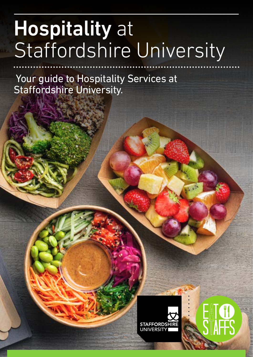# Hospitality at Staffordshire University

 Your guide to Hospitality Services at Staffordshire University.



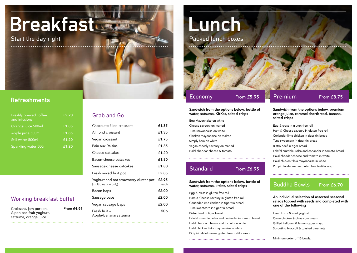Start the day right

# Refreshments

# Grab and Go

# Buddha Bowls

# From £6.70

# Working breakfast buffet

| Egg Mayonnaise on white         |
|---------------------------------|
| Cheese savoury on malted        |
| Tuna Mayonnaise on white        |
| Chicken mayonnaise on malted    |
| Simply ham on white             |
| Vegan cheesly savoury on malted |
| Halal cheddar cheese & tomato   |

# **Standard**



Egg & cress in gluten free roll Ham & Cheese savoury in gluten free roll Coriander lime chicken in tiger tin bread Tuna sweetcorn in tiger tin bread Bistro beef in tiger bread Falafel crumble, salsa and coriander in tomato bread Halal cheddar cheese and tomato in white Halal chicken tikka mayonnaise in white Piri piri falafel mezze gluten free tortilla wrap

| <b>Freshly brewed coffee</b><br>and infusions | £2.20    |
|-----------------------------------------------|----------|
| Orange juice 500ml                            | $E$ 1.85 |
| Apple juice 500ml                             | £1.85    |
| Still water 500ml                             | f1.20    |
| Sparkling water 500ml                         | £1.20    |

| $E1.\overline{85}$ | Chocolate filled croissant                                      | £1.35           |
|--------------------|-----------------------------------------------------------------|-----------------|
| £1.85              | Almond croissant                                                | £1.35           |
| £1.20              | Vegan croissant                                                 | £1.75           |
| £1.20              | Pain aux Raisins                                                | £1.35           |
|                    | Cheese oatcakes                                                 | £1.20           |
|                    | Bacon-cheese oatcakes                                           | £1.80           |
|                    | Sausage-cheese oatcakes                                         | £1.80           |
|                    | Fresh mixed fruit pot                                           | £2.85           |
|                    | Yoghurt and oat strawberry cluster pot<br>(multiples of 6 only) | £2.95<br>each   |
|                    | Bacon baps                                                      | £2.00           |
| uffet              | Sausage baps                                                    | £2.00           |
|                    | Vegan sausage baps                                              | £2.00           |
| From £4.95         | Fresh fruit -<br>Apple/Banana/Satsuma                           | 50 <sub>p</sub> |
|                    |                                                                 |                 |

Lamb kofta & mint yoghurt Cajun chicken & chive sour cream Grilled halloumi & lemon-caper mayo Sprouting broccoli & toasted pine nuts

Minimum order of 15 bowls.

Egg & cress in gluten free roll Ham & Cheese savoury in gluten free roll Coriander lime chicken in tiger tin bread Tuna sweetcorn in tiger tin bread Bistro beef in tiger bread Falafel crumble, salsa and coriander in tomato bread Halal cheddar cheese and tomato in white Halal chicken tikka mayonnaise in white Piri piri falafel mezze gluten free tortilla wrap

| Croissant, jam portion,   | From <b>£4</b> . |
|---------------------------|------------------|
| Alpen bar, fruit yoghurt, |                  |
| satsuma, orange juice     |                  |

# From £6.95

## Sandwich from the options below, bottle of water, satsuma, KitKat, salted crisps

## Sandwich from the options below, premium orange juice, caramel shortbread, banana, salted crisps

An individual selection of assorted seasonal salads topped with seeds and completed with one of the following

## Sandwich from the options below, bottle of water, satsuma, kitkat, salted crisps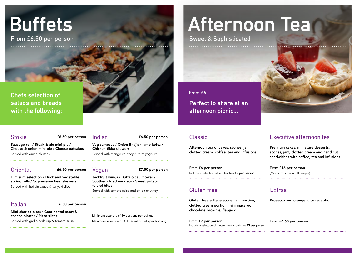# Afternoon Tea

Sweet & Sophisticated

afternoon picnic...

# Classic

# Perfect to share at an From £6

# Executive afternoon tea

Gluten free sultana scone, jam portion, clotted cream portion, mini macaroon, chocolate brownie, flapjack

From £7 per person Include a selection of gluten free sandwiches £3 per person



Prosecco and orange juice reception

From £4.60 per person

Premium cakes, miniature desserts, scones, jam, clotted cream and hand cut sandwiches with coffee, tea and infusions

From £16 per person (Minimum order of 30 people) 

Afternoon tea of cakes, scones, jam, clotted cream, coffee, tea and infusions

From £6 per person Include a selection of sandwiches £2 per person

# Gluten free **Extras**

Sausage roll / Steak & ale mini pie / Cheese & onion mini pie / Cheese oatcakes Served with onion chutney

Oriental **E6.50** per person Vegan

Minimum quantity of 10 portions per buffet. Maximum selection of 3 different buffets per booking. 

Veg samosas / Onion Bhajis / lamb kofta / Chicken tikka skewers

Served with mango chutney & mint yoghurt

£7.50 per person

Dim sum selection / Duck and vegetable spring rolls / Soy-sesame beef skewers Served with hoi-sin sauce & teriyaki dips

Jackfruit wings / Buffalo cauliflower / Southern fried nuggets / Sweet potato falafel bites Served with tomato salsa and onion chutney

Mini chorizo bites / Continental meat & cheese platter / Pizza slices Served with garlic-herb dip & tomato salsa

# Buffets

From £6.50 per person

Chefs selection of salads and breads with the following:

Stokie **E6.50 per person** Indian

# Italian

## £6.50 per person

£6.50 per person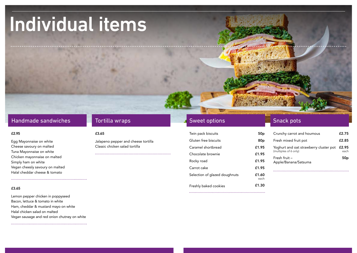# Individual items

# Handmade sandwiches **Tortilla wraps** Sweet options Sweet options Snack pots

Egg Mayonnaise on white Cheese savoury on malted Tuna Mayonnaise on white Chicken mayonnaise on malted Simply ham on white Vegan cheesly savoury on malted Halal cheddar cheese & tomato

Jalapeno pepper and cheese tortilla Classic chicken salad tortilla

Lemon pepper chicken in poppyseed Bacon, lettuce & tomato in white Ham, cheddar & mustard mayo on white Halal chicken salad on malted Vegan sausage and red onion chutney on white

## $\texttt{f2.95}$   $\texttt{f3.65}$

## £3.65

| Twin pack biscuits            | 50p             |  |
|-------------------------------|-----------------|--|
| Gluten free biscuits          | 80 <sub>p</sub> |  |
| Caramel shortbread            | £1.95           |  |
| Chocolate brownie             | £1.95           |  |
| Rocky road                    | £1.95           |  |
| Carrot cake                   | £1.95           |  |
| Selection of glazed doughnuts | £1.60<br>each   |  |
| Freshly baked cookies         | £1.30           |  |
|                               |                 |  |



| Crunchy carrot and houmous                                      | £2.75         |
|-----------------------------------------------------------------|---------------|
| Fresh mixed fruit pot                                           | £2.85         |
| Yoghurt and oat strawberry cluster pot<br>(multiples of 6 only) | £2.95<br>each |
| Fresh fruit $-$<br>Apple/Banana/Satsuma                         | 50p           |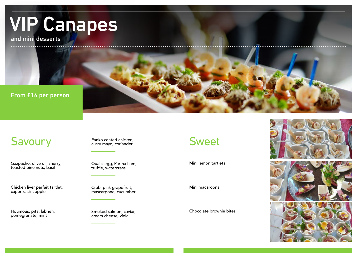# VIP Canapes

and mini desserts

# From £16 per person

# Savoury Panko coated chicken,<br>
Savoury Curry mayo, coriander<br>
Sweet

Gazpacho, olive oil, sherry, toasted pine nuts, basil

Mini lemon tartlets

Panko coated chicken, curry mayo, coriander

Houmous, pita, labneh, pomegranate, mint

Chocolate brownie bites



Crab, pink grapefruit, mascarpone, cucumber

Chicken liver parfait tartlet, caper-raisin, apple

Mini macaroons

Quails egg, Parma ham, truffle, watercress

Smoked salmon, caviar, cream cheese, viola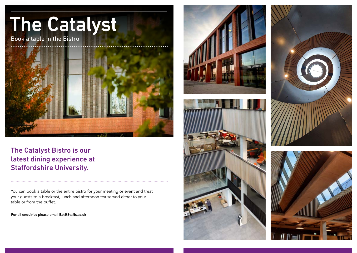# The Catalyst Book a table in the Bistro

# The Catalyst Bistro is our latest dining experience at Staffordshire University.

You can book a table or the entire bistro for your meeting or event and treat your guests to a breakfast, lunch and afternoon tea served either to your table or from the buffet.

For all enquiries please email Eat@Staffs.ac.uk







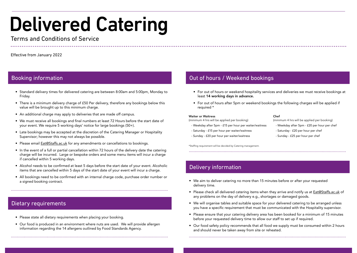- Standard delivery times for delivered catering are between 8:00am and 5:00pm, Monday to Friday.
- There is a minimum delivery charge of £50 Per delivery, therefore any bookings below this value will be brought up to this minimum charge.
- An additional charge may apply to deliveries that are made off campus.
- We must receive all bookings and final numbers at least 72 Hours before the start date of your event. We require 5 working days' notice for large bookings (50+).
- Late bookings may be accepted at the discretion of the Catering Manager or Hospitality Supervisor; however this may not always be possible.
- Please email **Eat@Staffs.ac.uk** for any amendments or cancellations to bookings.
- In the event of a full or partial cancellation within 72 hours of the delivery date the catering charge will be incurred. Large or bespoke orders and some menu items will incur a charge if cancelled within 5 working days.
- Alcohol needs to be confirmed at least 5 days before the start date of your event. Alcoholic items that are cancelled within 5 days of the start date of your event will incur a charge.
- All bookings need to be confirmed with an internal charge code, purchase order number or a signed booking contract.
- For out of hours or weekend hospitality services and deliveries we must receive bookings at least 14 working days in advance.
- For out of hours after 5pm or weekend bookings the following charges will be applied if required \*

- Please state all dietary requirements when placing your booking.
- Our food is produced in an environment where nuts are used. We will provide allergen information regarding the 14 allergens outlined by Food Standards Agency.

# Booking information **Contract Contract Contract Contract Contract Contract Contract Contract Contract Contract Contract Contract Contract Contract Contract Contract Contract Contract Contract Contract Contract Contract Con**

- We aim to deliver catering no more than 15 minutes before or after your requested delivery time.
- Please check all delivered catering items when they arrive and notify us at **Eat@Staffs.ac.uk** of any problems on the day of delivery e.g., shortages or damaged goods.
- We will organise tables and suitable space for your delivered catering to be arranged unless you have a specific requirement that must be communicated with the Hospitality supervisor.
- Please ensure that your catering delivery area has been booked for a minimum of 15 minutes before your requested delivery time to allow our staff to set up if required.
- Our food safety policy recommends that all food we supply must be consumed within 2 hours and should never be taken away from site or reheated.

# Delivered Catering

# Terms and Conditions of Service

Effective from January 2022

# Dietary requirements

# Delivery information

### Waiter or Waitress

(minimum 4 hrs will be applied per booking)

- Weekday after 5pm £15 per hour per waiter/waitress
- Saturday £15 per hour per waiter/waitress
- Sunday £20 per hour per waiter/waitress

## Chef

(minimum 4 hrs will be applied per booking)

- Weekday after 5pm £20 per hour per chef
- Saturday £20 per hour per chef
- Sunday £25 per hour per chef

\*Staffing requirement will be decided by Catering management.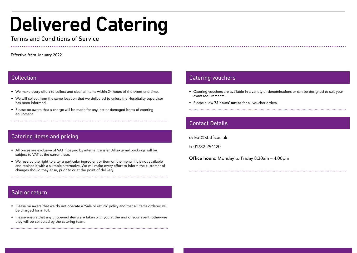- We make every effort to collect and clear all items within 24 hours of the event end time.
- We will collect from the same location that we delivered to unless the Hospitality supervisor has been informed.
- Please be aware that a charge will be made for any lost or damaged items of catering equipment.

- All prices are exclusive of VAT if paying by internal transfer. All external bookings will be subject to VAT at the current rate.
- We reserve the right to alter a particular ingredient or item on the menu if it is not available and replace it with a suitable alternative. We will make every effort to inform the customer of changes should they arise, prior to or at the point of delivery.
- Catering vouchers are available in a variety of denominations or can be designed to suit your exact requirements.
- Please allow 72 hours' notice for all voucher orders.

- Please be aware that we do not operate a 'Sale or return' policy and that all items ordered will be charged for in full.
- Please ensure that any unopened items are taken with you at the end of your event, otherwise they will be collected by the catering team.

e: Eat@Staffs.ac.uk

t: 01782 294120

Office hours: Monday to Friday 8:30am – 4:00pm

# Delivered Catering

# Terms and Conditions of Service

# Collection

# Catering items and pricing

# Sale or return

# Contact Details

# Catering vouchers

Effective from January 2022